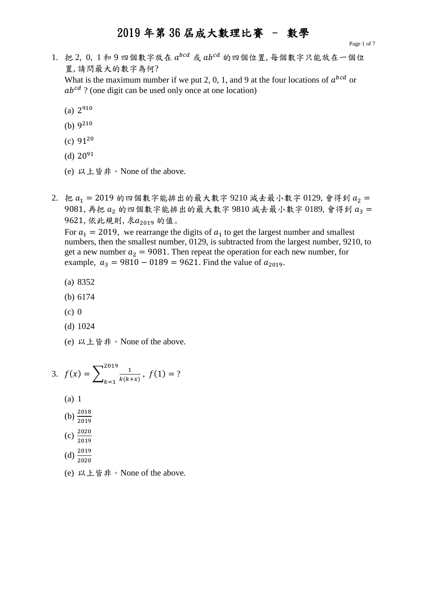1. 把 2, 0, 1和 9 四個數字放在  $a^{bcd}$  或  $ab^{cd}$  的四個位置, 每個數字只能放在一個位 置, 請問最大的數字為何? What is the maximum number if we put 2, 0, 1, and 9 at the four locations of  $a^{bcd}$  or

 $ab^{cd}$  ? (one digit can be used only once at one location)

- $(a) 2^{910}$
- (b)  $9^{210}$
- (c)  $91^{20}$
- (d)  $20^{91}$
- (e) 以上皆非。None of the above.
- 2. 把  $a_1 = 2019$  的四個數字能排出的最大數字 9210 減去最小數字 0129, 會得到  $a_2 =$  $9081$ , 再把  $a_2$  的四個數字能排出的最大數字  $9810$  減去最小數字  $0189$ , 會得到  $a_3 =$ 9621, 依此規則, 求a<sub>2019</sub> 的值。

For  $a_1 = 2019$ , we rearrange the digits of  $a_1$  to get the largest number and smallest numbers, then the smallest number, 0129, is subtracted from the largest number, 9210, to get a new number  $a_2 = 9081$ . Then repeat the operation for each new number, for example,  $a_3 = 9810 - 0189 = 9621$ . Find the value of  $a_{2019}$ .

- (a) 8352
- (b) 6174
- (c) 0
- (d) 1024
- (e) 以上皆非。None of the above.

3. 
$$
f(x) = \sum_{k=1}^{2019} \frac{1}{k(k+x)}, f(1) = ?
$$
  
(a) 1

- (b)  $\frac{2018}{2019}$
- 
- $(c) \frac{2020}{2019}$

(d) 
$$
\frac{2019}{2020}
$$

(e) 以上皆非。None of the above.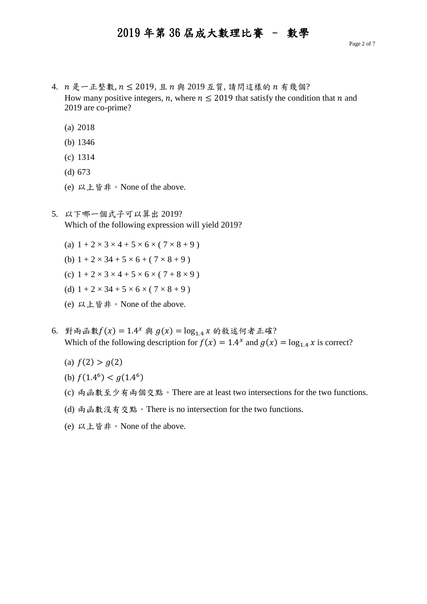- $4.$   $n \n *R*$  一 正 整 數,  $n \leq 2019$ , 且  $n \n *R*$  2019 互 質, 請 問 這 樣 的  $n \n *n*$  幾 個? How many positive integers, n, where  $n \leq 2019$  that satisfy the condition that n and 2019 are co-prime?
	- (a) 2018
	- (b) 1346
	- (c) 1314
	- (d) 673
	- (e) 以上皆非。None of the above.
- 5. 以下哪一個式子可以算出 2019? Which of the following expression will yield 2019?
	- (a)  $1 + 2 \times 3 \times 4 + 5 \times 6 \times (7 \times 8 + 9)$
	- (b)  $1 + 2 \times 34 + 5 \times 6 + (7 \times 8 + 9)$
	- (c)  $1 + 2 \times 3 \times 4 + 5 \times 6 \times (7 + 8 \times 9)$
	- (d)  $1 + 2 \times 34 + 5 \times 6 \times (7 \times 8 + 9)$
	- (e) 以上皆非。None of the above.
- 6. 對兩函數 $f(x) = 1.4^x$ 與  $g(x) = log_{1.4} x$  的敘述何者正確? Which of the following description for  $f(x) = 1.4^x$  and  $g(x) = \log_{1.4} x$  is correct?
	- (a)  $f(2) > g(2)$
	- (b)  $f(1.4^6) < g(1.4^6)$
	- (c) 兩函數至少有兩個交點。There are at least two intersections for the two functions.
	- (d) 兩函數沒有交點。There is no intersection for the two functions.
	- (e) 以上皆非。None of the above.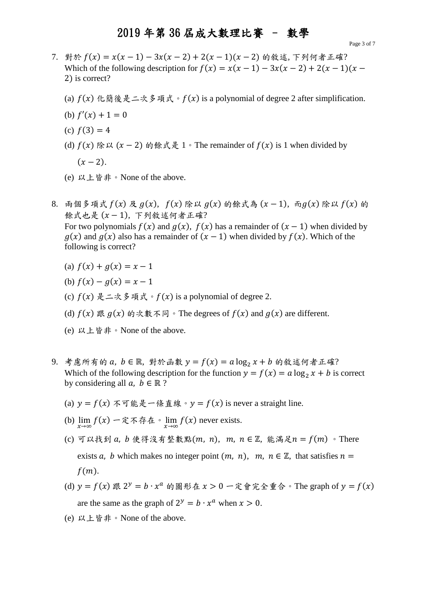- 7. 對於  $f(x) = x(x 1) 3x(x 2) + 2(x 1)(x 2)$  的敘述, 下列何者正確? Which of the following description for  $f(x) = x(x - 1) - 3x(x - 2) + 2(x - 1)(x - 1)$ 2) is correct?
	- (a)  $f(x)$  化簡後是二次多項式。 $f(x)$  is a polynomial of degree 2 after simplification.
	- (b)  $f'(x) + 1 = 0$
	- (c)  $f(3) = 4$
	- (d)  $f(x)$  除以  $(x 2)$  的餘式是 1。The remainder of  $f(x)$  is 1 when divided by  $(x - 2)$ .
	- (e) 以上皆非。None of the above.
- 8. 兩個多項式  $f(x)$  及  $g(x)$ ,  $f(x)$  除以  $g(x)$  的餘式為  $(x 1)$ , 而 $g(x)$  除以  $f(x)$  的 餘式也是 (x-1), 下列敘述何者正確? For two polynomials  $f(x)$  and  $g(x)$ ,  $f(x)$  has a remainder of  $(x - 1)$  when divided by  $g(x)$  and  $g(x)$  also has a remainder of  $(x - 1)$  when divided by  $f(x)$ . Which of the following is correct?
	- (a)  $f(x) + g(x) = x 1$
	- (b)  $f(x) g(x) = x 1$
	- (c)  $f(x) \not\equiv -\infty$  多項式。 $f(x)$  is a polynomial of degree 2.
	- (d)  $f(x)$  跟  $g(x)$  的次數不同。The degrees of  $f(x)$  and  $g(x)$  are different.
	- (e) 以上皆非。None of the above.
- $9.$  考慮所有的  $a, b \in \mathbb{R}$ , 對於函數  $y = f(x) = a \log_2 x + b$  的敘述何者正確? Which of the following description for the function  $y = f(x) = a \log_2 x + b$  is correct by considering all  $a, b \in \mathbb{R}$ ?
	- (a)  $y = f(x)$  不可能是一條直線。  $y = f(x)$  is never a straight line.
	- (b)  $\lim_{x \to \infty} f(x) -$  定不存在。 $\lim_{x \to \infty} f(x)$  never exists.
	- (c) 可以找到  $a, b \notin \mathbb{R}$  沒有整數點 $(m, n), m, n \in \mathbb{Z}$ , 能滿足 $n = f(m)$  。There exists a, b which makes no integer point  $(m, n)$ ,  $m, n \in \mathbb{Z}$ , that satisfies  $n =$  $f(m)$ .
	- (d)  $y = f(x)$  跟  $2^y = b \cdot x^a$  的圖形在  $x > 0 \hat{x}$ 會完全重合。The graph of  $y = f(x)$ are the same as the graph of  $2^y = b \cdot x^a$  when  $x > 0$ .
	- (e) 以上皆非。None of the above.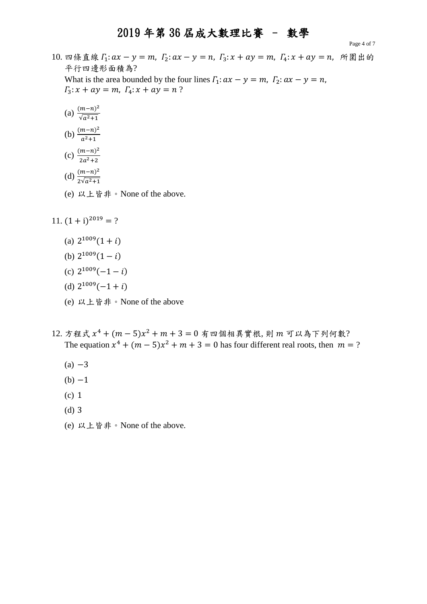Page 4 of 7

- 10. 四條直線  $\Gamma_1: ax y = m$ ,  $\Gamma_2: ax y = n$ ,  $\Gamma_3: x + ay = m$ ,  $\Gamma_4: x + ay = n$ , 所圍出的 平行四邊形面積為? What is the area bounded by the four lines  $\Gamma_1: \alpha x - y = m$ ,  $\Gamma_2: \alpha x - y = n$ ,  $\Gamma_3: x + ay = m, \Gamma_4: x + ay = n?$ 
	- (a)  $\frac{(m-n)^2}{\sqrt{m^2+1}}$  $\sqrt{a^2+1}$

(b) 
$$
\frac{(m-n)^2}{a^2+1}
$$

- (c)  $\frac{(m-n)^2}{2n^2+2}$  $2a^2+2$
- (d)  $\frac{(m-n)^2}{2(n-1)}$  $2\sqrt{a^2+1}$
- (e) 以上皆非。None of the above.
- 11.  $(1 + i)^{2019} = ?$ 
	- (a)  $2^{1009}(1+i)$
	- (b)  $2^{1009}(1-i)$
	- (c)  $2^{1009}(-1-i)$
	- (d)  $2^{1009}(-1+i)$
	- (e) 以上皆非。None of the above
- 12. 方程式  $x^4 + (m-5)x^2 + m + 3 = 0$  有四個相異實根, 則  $m$  可以為下列何數? The equation  $x^4 + (m-5)x^2 + m + 3 = 0$  has four different real roots, then  $m = ?$ 
	- $(a) -3$
	- $(b) -1$
	- (c) 1
	- (d) 3
	- (e) 以上皆非。None of the above.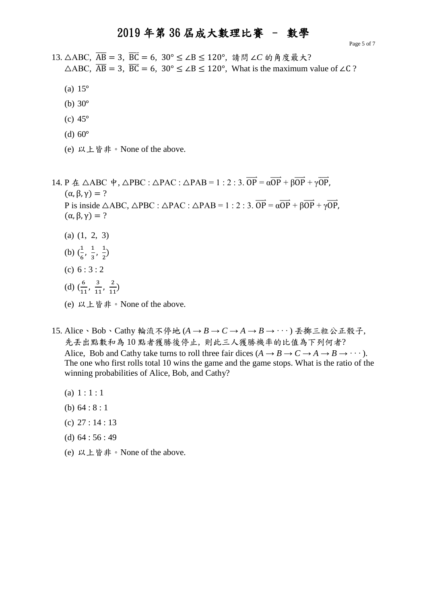Page 5 of 7

13. △ABC,  $\overline{AB}$  = 3,  $\overline{BC}$  = 6, 30° ≤ ∠B ≤ 120°, 請問 ∠C 的角度最大?  $\triangle$ ABC,  $\overline{AB} = 3$ ,  $\overline{BC} = 6$ ,  $30^{\circ} \le \angle B \le 120^{\circ}$ , What is the maximum value of  $\angle C$ ?

- (a) 15°
- (b) 30°
- (c) 45°
- (d)  $60^\circ$
- (e) 以上皆非。None of the above.

14. P  $\angle$   $\triangle$  ABC  $\psi$ ,  $\triangle$ PBC :  $\triangle$ PAC :  $\triangle$ PAB = 1 : 2 : 3.  $\overrightarrow{OP} = \alpha \overrightarrow{OP} + \beta \overrightarrow{OP} + \gamma \overrightarrow{OP}$ ,  $(\alpha, \beta, \gamma) = ?$ P is inside  $\triangle ABC$ ,  $\triangle PBC$  :  $\triangle PAC$  :  $\triangle PAB = 1 : 2 : 3$ .  $\overrightarrow{OP} = \alpha \overrightarrow{OP} + \beta \overrightarrow{OP} + \gamma \overrightarrow{OP}$ ,  $(\alpha, \beta, \gamma) = ?$ (a) (1, 2, 3)

- 
- (b)  $\left(\frac{1}{e}\right)$  $\frac{1}{6}$ ,  $\frac{1}{3}$  $\frac{1}{3}$ ,  $\frac{1}{2}$  $\frac{1}{2}$
- (c)  $6:3:2$
- (d)  $(\frac{6}{10})$  $\frac{6}{11}$ ,  $\frac{3}{11}$  $\frac{3}{11}$ ,  $\frac{2}{11}$  $\frac{2}{11}$
- (e) 以上皆非。None of the above.
- 15. Alice、Bob、Cathy 輪流不停地 (*A → B → C → A → B → · · ·* ) 丟擲三粒公正骰子, 先丢出點數和為10點者獲勝後停止,則此三人獲勝機率的比值為下列何者? Alice, Bob and Cathy take turns to roll three fair dices  $(A \rightarrow B \rightarrow C \rightarrow A \rightarrow B \rightarrow \cdots)$ . The one who first rolls total 10 wins the game and the game stops. What is the ratio of the winning probabilities of Alice, Bob, and Cathy?
	- (a)  $1:1:1$
	- (b) 64 : 8 : 1
	- (c) 27 : 14 : 13
	- (d) 64 : 56 : 49
	- (e) 以上皆非。None of the above.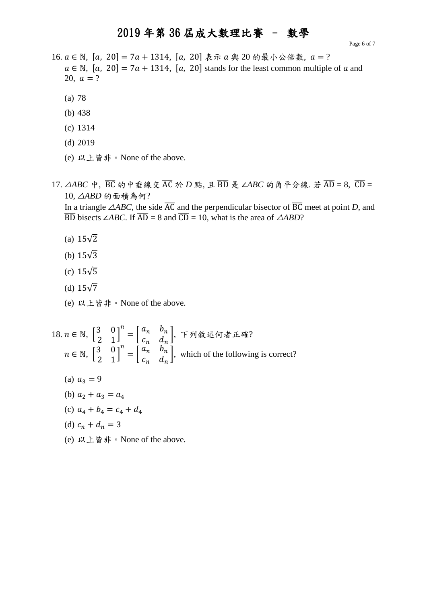Page 6 of 7

- 16.  $a \in \mathbb{N}$ , [a, 20] = 7 $a + 1314$ , [a, 20] 表示  $a \nleftrightarrow 20$  的最小公倍數,  $a = ?$  $a \in \mathbb{N}$ ,  $[a, 20] = 7a + 1314$ ,  $[a, 20]$  stands for the least common multiple of a and 20,  $a = ?$ 
	- (a) 78
	- (b) 438
	- (c) 1314
	- (d) 2019
	- (e) 以上皆非。None of the above.
- 17. △*ABC* 中, BC 的中垂線交 AC 於 D 點, 且 BD 是 ∠ABC 的角平分線. 若 AD = 8, CD = 10, △*ABD* 的面積為何?

In a triangle  $\triangle ABC$ , the side  $\overline{AC}$  and the perpendicular bisector of  $\overline{BC}$  meet at point *D*, and  $\overline{BD}$  bisects ∠*ABC*. If  $\overline{AD} = 8$  and  $\overline{CD} = 10$ , what is the area of  $\triangle ABD$ ?

- (a) 15√2
- (b) 15√3
- (c) 15√5
- (d)  $15\sqrt{7}$
- (e) 以上皆非。None of the above.

18. 
$$
n \in \mathbb{N}
$$
,  $\begin{bmatrix} 3 & 0 \\ 2 & 1 \end{bmatrix}^n = \begin{bmatrix} a_n & b_n \\ c_n & d_n \end{bmatrix}$ ,  $\top \mathfrak{H} \hat{\mathbb{X}} \hat{\mathbb{X}} \hat{\mathbb{M}} \hat{\mathbb{X}} \hat{\mathbb{A}} \hat{\mathbb{X}}?$   
\n $n \in \mathbb{N}$ ,  $\begin{bmatrix} 3 & 0 \\ 2 & 1 \end{bmatrix}^n = \begin{bmatrix} a_n & b_n \\ c_n & d_n \end{bmatrix}$ , which of the following is correct?

- (a)  $a_3 = 9$
- (b)  $a_2 + a_3 = a_4$
- (c)  $a_4 + b_4 = c_4 + d_4$
- (d)  $c_n + d_n = 3$
- (e) 以上皆非。None of the above.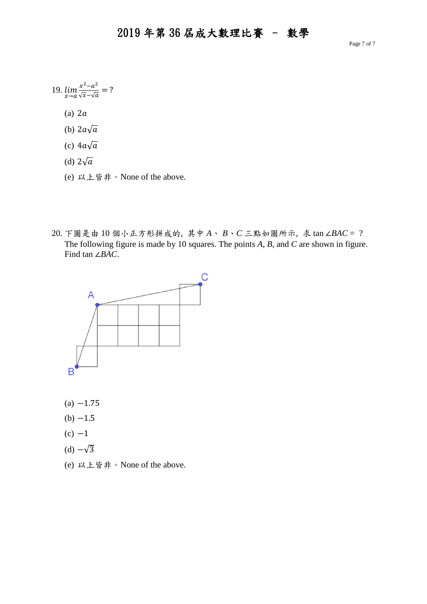Page 7 of 7

19. 
$$
\lim_{x \to a} \frac{x^2 - a^2}{\sqrt{x} - \sqrt{a}} = ?
$$

(a)  $2a$ 

- (b)  $2a\sqrt{a}$
- (c)  $4a\sqrt{a}$
- (d)  $2\sqrt{a}$
- (e) 以上皆非。None of the above.
- 20. 下圖是由 10 個小正方形拼成的, 其中 *A*、 *B*、*C* 三點如圖所示, 求 tan ∠*BAC* = ? The following figure is made by 10 squares. The points *A*, *B*, and *C* are shown in figure. Find tan ∠*BAC*.



- $(a) -1.75$
- $(b) -1.5$
- $(c) -1$
- (d)  $-\sqrt{3}$
- (e) 以上皆非。None of the above.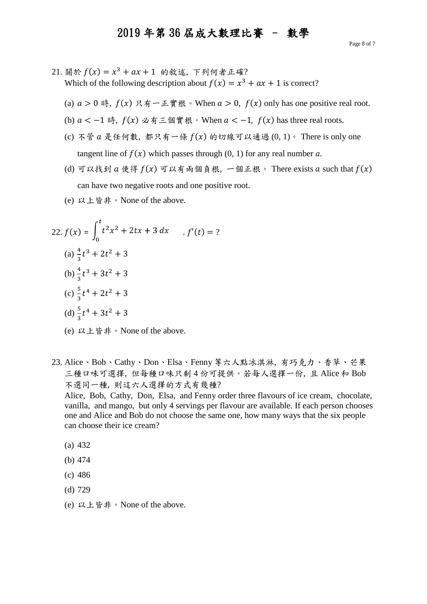- $21.$  關於  $f(x) = x^3 + ax + 1$  的敘述, 下列何者正確? Which of the following description about  $f(x) = x^3 + ax + 1$  is correct?
	- (a)  $a > 0$  時,  $f(x) \nrightarrow g \pi \pi \nmid \mathbb{R} \in \mathbb{R}$  when  $a > 0$ ,  $f(x)$  only has one positive real root.
	- (b)  $a < -1$  時,  $f(x) \triangleleft f \subseteq \text{4}$   $\text{4}$   $\text{4}$   $\text{4}$   $\text{4}$   $\text{4}$   $\text{4}$   $\text{4}$   $\text{4}$   $\text{4}$   $\text{4}$   $\text{4}$   $\text{4}$   $\text{4}$   $\text{4}$   $\text{4}$   $\text{4}$   $\text{4}$   $\text{4}$   $\text{4}$   $\text{4}$   $\text{4}$   $\text{4}$   $\text{4}$   $\text{4$
	- (c) 不管  $a \not\in$ 任何數, 都只有一條  $f(x)$  的切線可以通過  $(0, 1)$   $\circ$  There is only one tangent line of  $f(x)$  which passes through (0, 1) for any real number *a*.
	- (d) 可以找到  $a \notin \mathcal{F}(x)$  可以有兩個負根, 一個正根。 There exists  $a$  such that  $f(x)$ can have two negative roots and one positive root.
	- (e) 以上皆非。None of the above.

22. 
$$
f(x) = \int_0^t t^2 x^2 + 2tx + 3 dx
$$
  $f'(t) = ?$   
\n(a)  $\frac{4}{3}t^3 + 2t^2 + 3$   
\n(b)  $\frac{4}{3}t^3 + 3t^2 + 3$   
\n(c)  $\frac{5}{3}t^4 + 2t^2 + 3$   
\n(d)  $\frac{5}{3}t^4 + 3t^2 + 3$ 

- (e) 以上皆非。None of the above.
- 23. Alice、Bob、Cathy、Don、Elsa、Fenny 等六人點冰淇淋, 有巧克力、香草、芒果 三種口味可選擇, 但每種口味只剩 4 份可提供。若每人選擇一份, 且 Alice 和 Bob 不選同一種, 則這六人選擇的方式有幾種?

Alice, Bob, Cathy, Don, Elsa, and Fenny order three flavours of ice cream, chocolate, vanilla, and mango, but only 4 servings per flavour are available. If each person chooses one and Alice and Bob do not choose the same one, how many ways that the six people can choose their ice cream?

- (a) 432
- (b) 474
- (c) 486
- (d) 729
- (e) 以上皆非。None of the above.